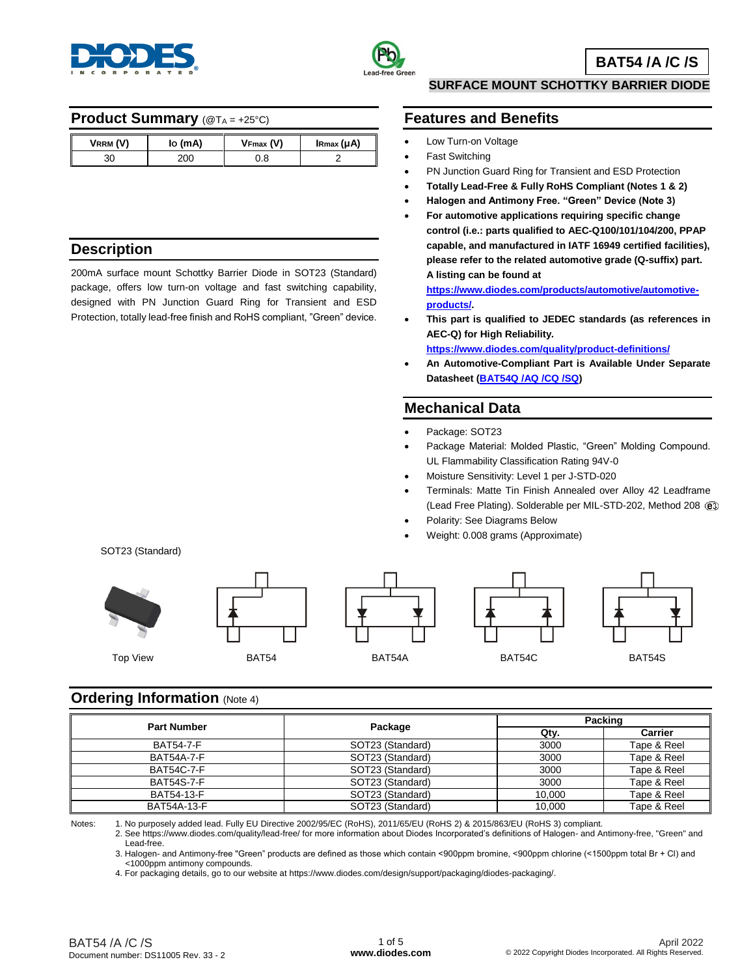



### **Product Summary** (@TA = +25°C)

| VRRM (V) | lo (mA) | $V_{Fmax} (V)$ | $I_{\rm Rmax}(\mu A)$ |
|----------|---------|----------------|-----------------------|
| 30       | 200     | ე. მ           |                       |

## **Description**

200mA surface mount Schottky Barrier Diode in SOT23 (Standard) package, offers low turn-on voltage and fast switching capability, designed with PN Junction Guard Ring for Transient and ESD Protection, totally lead-free finish and RoHS compliant, "Green" device.

### **SURFACE MOUNT SCHOTTKY BARRIER DIODE**

### **Features and Benefits**

- Low Turn-on Voltage
- Fast Switching
- PN Junction Guard Ring for Transient and ESD Protection
- **Totally Lead-Free & Fully RoHS Compliant (Notes 1 & 2)**
- **Halogen and Antimony Free. "Green" Device (Note 3)**
- **For automotive applications requiring specific change control (i.e.: parts qualified to AEC-Q100/101/104/200, PPAP capable, and manufactured in IATF 16949 certified facilities), please refer to the related automotive grade (Q-suffix) part. A listing can be found at**

**[https://www.diodes.com/products/automotive/automotive](https://www.diodes.com/products/automotive/automotive-products/)[products/.](https://www.diodes.com/products/automotive/automotive-products/)** 

 **This part is qualified to JEDEC standards (as references in AEC-Q) for High Reliability.** 

**<https://www.diodes.com/quality/product-definitions/>**

 **An Automotive-Compliant Part is Available Under Separate Datasheet [\(BAT54Q](https://www.diodes.com/assets/Datasheets/BAT54Q_AQ_CQ_SQ.pdf) /AQ /CQ /SQ)**

## **Mechanical Data**

- Package: SOT23
- Package Material: Molded Plastic, "Green" Molding Compound. UL Flammability Classification Rating 94V-0
- Moisture Sensitivity: Level 1 per J-STD-020
- Terminals: Matte Tin Finish Annealed over Alloy 42 Leadframe (Lead Free Plating). Solderable per MIL-STD-202, Method 208
- Polarity: See Diagrams Below
- Weight: 0.008 grams (Approximate)



## **Ordering Information** (Note 4)

| <b>Part Number</b> |                  |        | Packing     |  |  |
|--------------------|------------------|--------|-------------|--|--|
|                    | Package          | Qty.   | Carrier     |  |  |
| <b>BAT54-7-F</b>   | SOT23 (Standard) | 3000   | Tape & Reel |  |  |
| <b>BAT54A-7-F</b>  | SOT23 (Standard) | 3000   | Tape & Reel |  |  |
| <b>BAT54C-7-F</b>  | SOT23 (Standard) | 3000   | Tape & Reel |  |  |
| <b>BAT54S-7-F</b>  | SOT23 (Standard) | 3000   | Tape & Reel |  |  |
| BAT54-13-F         | SOT23 (Standard) | 10.000 | Tape & Reel |  |  |
| BAT54A-13-F        | SOT23 (Standard) | 10.000 | Tape & Reel |  |  |

Notes: 1. No purposely added lead. Fully EU Directive 2002/95/EC (RoHS), 2011/65/EU (RoHS 2) & 2015/863/EU (RoHS 3) compliant.

2. See https://www.diodes.com/quality/lead-free/ for more information about Diodes Incorporated's definitions of Halogen- and Antimony-free, "Green" and Lead-free.

3. Halogen- and Antimony-free "Green" products are defined as those which contain <900ppm bromine, <900ppm chlorine (<1500ppm total Br + Cl) and <1000ppm antimony compounds.

4. For packaging details, go to our website at https://www.diodes.com/design/support/packaging/diodes-packaging/.

#### BAT54 /A /C /S Document number: DS11005 Rev. 33 - 2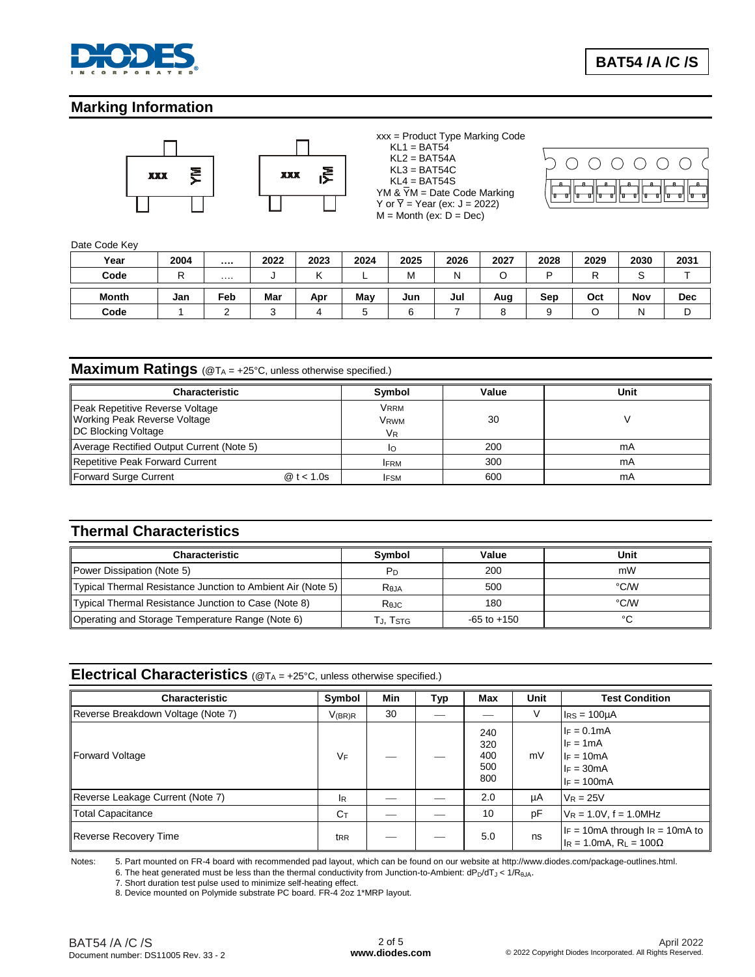

# **Marking Information**



xxx = Product Type Marking Code  $KL1 = BAT54$  $KL2 = BAT54A$  $KL3 = BAT54C$  $KL4 = BAT54S$ YM &  $\overline{Y}M =$  Date Code Marking Y or  $\overline{Y}$  = Year (ex: J = 2022)  $M =$  Month (ex:  $D =$  Dec)



#### Date Code Key

| Year  | 2004 |          | 2022 | 2023 | 2024 | 2025 | 2026 | 2027 | 2028 | 2029 | 2030 | 2031       |
|-------|------|----------|------|------|------|------|------|------|------|------|------|------------|
| Code  | D    | $\cdots$ |      |      | -    | M    | N    |      | D    |      |      |            |
|       |      |          |      |      |      |      |      |      |      |      |      |            |
| Month | Jan  | Feb      | Mar  | Apr  | May  | Jun  | Jul  | Aug  | Sep  | Oct  | Nov  | <b>Dec</b> |

### **Maximum Ratings** (@TA = +25°C, unless otherwise specified.)

| <b>Characteristic</b>                                                                         | Symbol                   | Value | Unit |
|-----------------------------------------------------------------------------------------------|--------------------------|-------|------|
| Peak Repetitive Reverse Voltage<br><b>Working Peak Reverse Voltage</b><br>DC Blocking Voltage | Vrrm<br>Vrwm<br>VR       | 30    |      |
| Average Rectified Output Current (Note 5)                                                     | IΟ                       | 200   | mA   |
| <b>Repetitive Peak Forward Current</b>                                                        | <b>IFRM</b>              | 300   | mA   |
| Forward Surge Current                                                                         | @t < 1.0s<br><b>IFSM</b> | 600   | mA   |

# **Thermal Characteristics**

| <b>Characteristic</b>                                       | <b>Symbol</b> | Value           | Unit   |
|-------------------------------------------------------------|---------------|-----------------|--------|
| Power Dissipation (Note 5)                                  | Pn            | 200             | mW     |
| Typical Thermal Resistance Junction to Ambient Air (Note 5) | <b>Reja</b>   | 500             | °C∕W   |
| Typical Thermal Resistance Junction to Case (Note 8)        | Rejc          | 180             | °C∕W   |
| Operating and Storage Temperature Range (Note 6)            | Гл. Tsтg      | $-65$ to $+150$ | $\sim$ |

### **Electrical Characteristics** (@T<sup>A</sup> = +25°C, unless otherwise specified.)

| <b>Characteristic</b>              | Symbol           | Min | Typ | <b>Max</b>                      | Unit | <b>Test Condition</b>                                                                |
|------------------------------------|------------------|-----|-----|---------------------------------|------|--------------------------------------------------------------------------------------|
| Reverse Breakdown Voltage (Note 7) | $V_{(BR)R}$      | 30  |     |                                 | V    | $IRS = 100µA$                                                                        |
| <b>Forward Voltage</b>             | VF               |     |     | 240<br>320<br>400<br>500<br>800 | mV   | $I_F = 0.1mA$<br>$IF = 1mA$<br>$I_F = 10mA$<br>$I_F = 30mA$<br>$I_F = 100mA$         |
| Reverse Leakage Current (Note 7)   | <sup>I</sup> R   |     |     | 2.0                             | μA   | $V_R = 25V$                                                                          |
| <b>Total Capacitance</b>           | $C_{\mathsf{T}}$ |     |     | 10                              | pF   | $V_R = 1.0V$ , f = 1.0MHz                                                            |
| <b>Reverse Recovery Time</b>       | t <sub>RR</sub>  |     |     | 5.0                             | ns   | $I_F = 10$ mA through $I_R = 10$ mA to<br>$I_R = 1.0 \text{mA}$ , $R_L = 100 \Omega$ |

Notes: 5. Part mounted on FR-4 board with recommended pad layout, which can be found on our website a[t http://www.diodes.com/package-outlines.html.](http://www.diodes.com/package-outlines.html) 6. The heat generated must be less than the thermal conductivity from Junction-to-Ambient:  $dP_D/dT_J < 1/R_{0JA}$ .

7. Short duration test pulse used to minimize self-heating effect.

8. Device mounted on Polymide substrate PC board. FR-4 2oz 1\*MRP layout.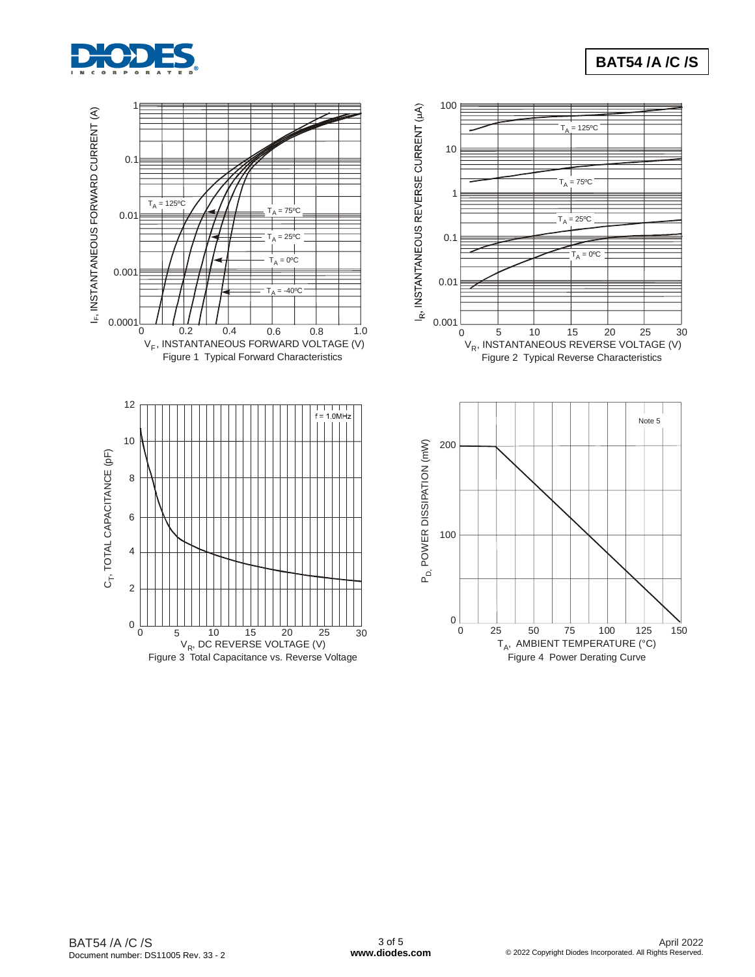

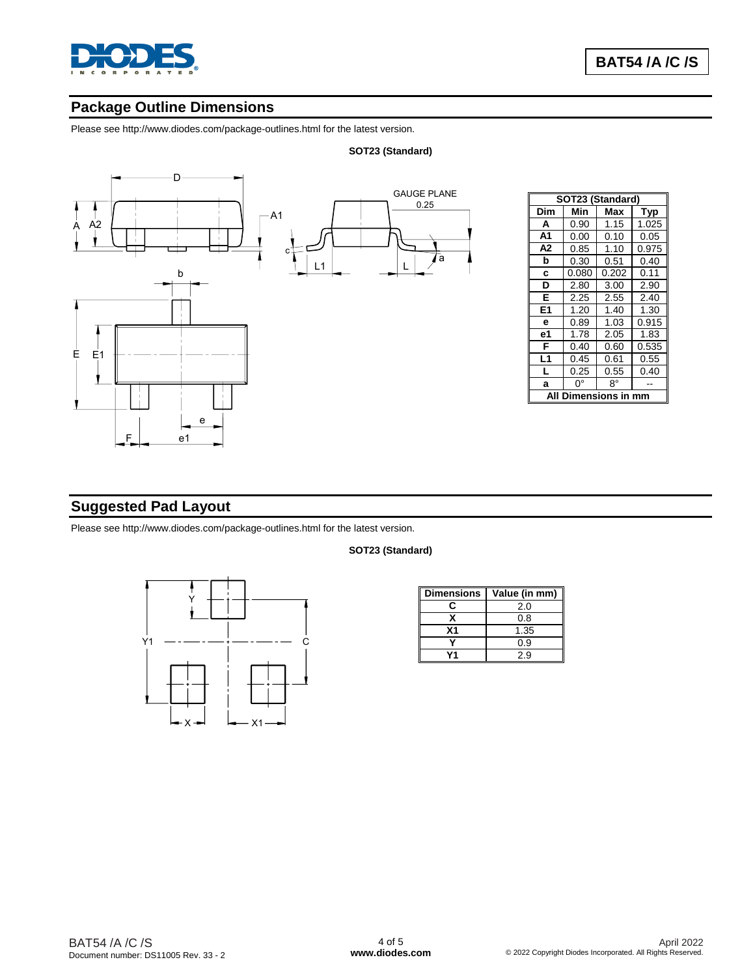

# **Package Outline Dimensions**

Please see http://www.diodes.com/package-outlines.html for the latest version.

#### **SOT23 (Standard)**



|                    | SOT23 (Standard) |       |       |  |  |  |  |  |
|--------------------|------------------|-------|-------|--|--|--|--|--|
| Dim                | Min              | Max   | Typ   |  |  |  |  |  |
| A                  | 0.90             | 1.15  | 1.025 |  |  |  |  |  |
| A1                 | 0.00             | 0.10  | 0.05  |  |  |  |  |  |
| А2                 | 0.85             | 1.10  | 0.975 |  |  |  |  |  |
| b                  | 0.30             | 0.51  | 0.40  |  |  |  |  |  |
| C                  | 0.080            | 0.202 | 0.11  |  |  |  |  |  |
| D                  | 2.80             | 3.00  | 2.90  |  |  |  |  |  |
| Е                  | 2.25             | 2.55  | 2.40  |  |  |  |  |  |
| E1                 | 1.20             | 1.40  | 1.30  |  |  |  |  |  |
| е                  | 0.89             | 1.03  | 0.915 |  |  |  |  |  |
| е1                 | 1.78             | 2.05  | 1.83  |  |  |  |  |  |
| F                  | 0.40             | 0.60  | 0.535 |  |  |  |  |  |
| L <sub>1</sub>     | 0.45             | 0.61  | 0.55  |  |  |  |  |  |
| L                  | 0.25             | 0.55  | 0.40  |  |  |  |  |  |
| a                  | 0°               | 8°    |       |  |  |  |  |  |
| Dimensions in<br>A |                  |       |       |  |  |  |  |  |

# **Suggested Pad Layout**

Please see http://www.diodes.com/package-outlines.html for the latest version.



| SOT23 (Standard) |
|------------------|

| <b>Dimensions</b> | Value (in mm) |
|-------------------|---------------|
| c.                | 2.0           |
| x                 | 0.8           |
| Χ1                | 1.35          |
|                   | 0.9           |
|                   | 2.9           |